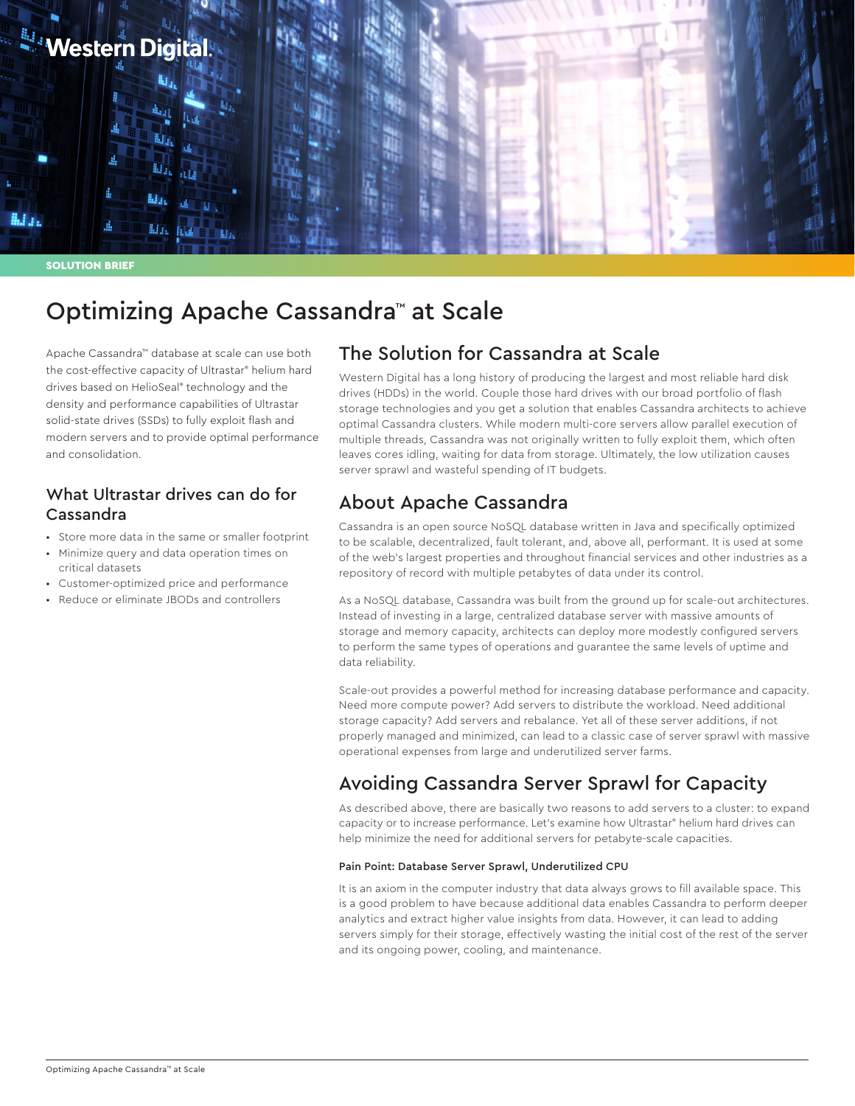

SOLUTION BRIEF

# Optimizing Apache Cassandra™ at Scale

Apache Cassandra™ database at scale can use both the cost-effective capacity of Ultrastar® helium hard drives based on HelioSeal® technology and the density and performance capabilities of Ultrastar solid-state drives (SSDs) to fully exploit flash and modern servers and to provide optimal performance and consolidation.

### What Ultrastar drives can do for Cassandra

- Store more data in the same or smaller footprint
- Minimize query and data operation times on critical datasets
- Customer-optimized price and performance
- Reduce or eliminate JBODs and controllers

### The Solution for Cassandra at Scale

Western Digital has a long history of producing the largest and most reliable hard disk drives (HDDs) in the world. Couple those hard drives with our broad portfolio of flash storage technologies and you get a solution that enables Cassandra architects to achieve optimal Cassandra clusters. While modern multi-core servers allow parallel execution of multiple threads, Cassandra was not originally written to fully exploit them, which often leaves cores idling, waiting for data from storage. Ultimately, the low utilization causes server sprawl and wasteful spending of IT budgets.

## About Apache Cassandra

Cassandra is an open source NoSQL database written in Java and specifically optimized to be scalable, decentralized, fault tolerant, and, above all, performant. It is used at some of the web's largest properties and throughout financial services and other industries as a repository of record with multiple petabytes of data under its control.

As a NoSQL database, Cassandra was built from the ground up for scale-out architectures. Instead of investing in a large, centralized database server with massive amounts of storage and memory capacity, architects can deploy more modestly configured servers to perform the same types of operations and guarantee the same levels of uptime and data reliability.

Scale-out provides a powerful method for increasing database performance and capacity. Need more compute power? Add servers to distribute the workload. Need additional storage capacity? Add servers and rebalance. Yet all of these server additions, if not properly managed and minimized, can lead to a classic case of server sprawl with massive operational expenses from large and underutilized server farms.

## Avoiding Cassandra Server Sprawl for Capacity

As described above, there are basically two reasons to add servers to a cluster: to expand capacity or to increase performance. Let's examine how Ultrastar® helium hard drives can help minimize the need for additional servers for petabyte-scale capacities.

#### Pain Point: Database Server Sprawl, Underutilized CPU

It is an axiom in the computer industry that data always grows to fill available space. This is a good problem to have because additional data enables Cassandra to perform deeper analytics and extract higher value insights from data. However, it can lead to adding servers simply for their storage, effectively wasting the initial cost of the rest of the server and its ongoing power, cooling, and maintenance.